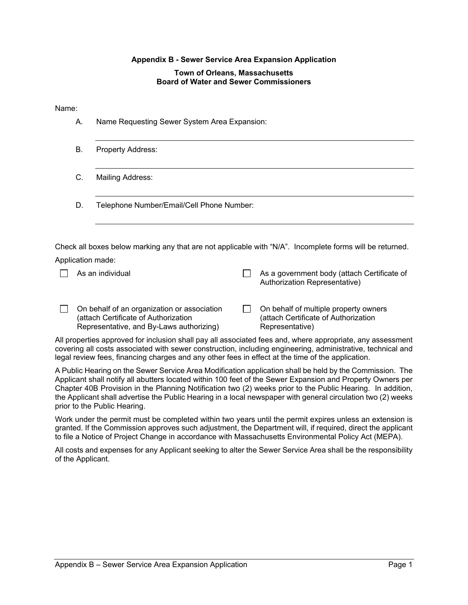# **Appendix B - Sewer Service Area Expansion Application**

## **Town of Orleans, Massachusetts Board of Water and Sewer Commissioners**

## Name:

| А. | Name Requesting Sewer System Area Expansion:                                                                                    |                                                                                                                                                                                                                           |
|----|---------------------------------------------------------------------------------------------------------------------------------|---------------------------------------------------------------------------------------------------------------------------------------------------------------------------------------------------------------------------|
| В. | <b>Property Address:</b>                                                                                                        |                                                                                                                                                                                                                           |
| C. | Mailing Address:                                                                                                                |                                                                                                                                                                                                                           |
| D. | Telephone Number/Email/Cell Phone Number:                                                                                       |                                                                                                                                                                                                                           |
|    | Application made:                                                                                                               | Check all boxes below marking any that are not applicable with "N/A". Incomplete forms will be returned.                                                                                                                  |
|    | As an individual                                                                                                                | As a government body (attach Certificate of<br>Authorization Representative)                                                                                                                                              |
|    | On behalf of an organization or association<br>(attach Certificate of Authorization<br>Representative, and By-Laws authorizing) | On behalf of multiple property owners<br>(attach Certificate of Authorization<br>Representative)                                                                                                                          |
|    | legal review fees, financing charges and any other fees in effect at the time of the application.                               | All properties approved for inclusion shall pay all associated fees and, where appropriate, any assessment<br>covering all costs associated with sewer construction, including engineering, administrative, technical and |
|    |                                                                                                                                 |                                                                                                                                                                                                                           |

A Public Hearing on the Sewer Service Area Modification application shall be held by the Commission. The Applicant shall notify all abutters located within 100 feet of the Sewer Expansion and Property Owners per Chapter 40B Provision in the Planning Notification two (2) weeks prior to the Public Hearing. In addition, the Applicant shall advertise the Public Hearing in a local newspaper with general circulation two (2) weeks prior to the Public Hearing.

Work under the permit must be completed within two years until the permit expires unless an extension is granted. If the Commission approves such adjustment, the Department will, if required, direct the applicant to file a Notice of Project Change in accordance with Massachusetts Environmental Policy Act (MEPA).

All costs and expenses for any Applicant seeking to alter the Sewer Service Area shall be the responsibility of the Applicant.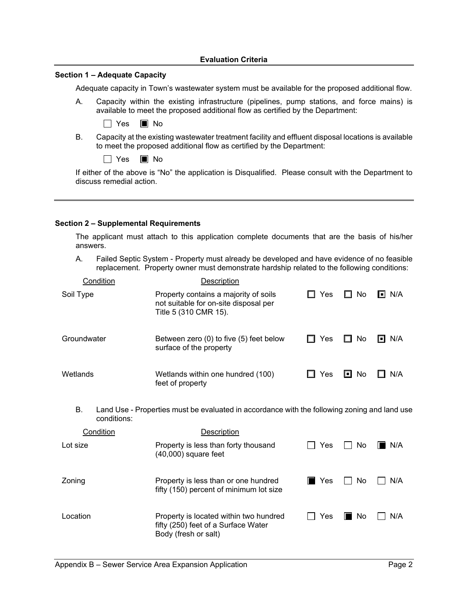## **Evaluation Criteria**

## **Section 1 – Adequate Capacity**

Adequate capacity in Town's wastewater system must be available for the proposed additional flow.

A. Capacity within the existing infrastructure (pipelines, pump stations, and force mains) is available to meet the proposed additional flow as certified by the Department:

| $\tilde{\phantom{a}}$<br>$-$ |  | Nο |
|------------------------------|--|----|
|------------------------------|--|----|

B. Capacity at the existing wastewater treatment facility and effluent disposal locations is available to meet the proposed additional flow as certified by the Department:

 $\Box$  Yes  $\Box$  No

If either of the above is "No" the application is Disqualified. Please consult with the Department to discuss remedial action.

## **Section 2 – Supplemental Requirements**

The applicant must attach to this application complete documents that are the basis of his/her answers.

A. Failed Septic System - Property must already be developed and have evidence of no feasible replacement. Property owner must demonstrate hardship related to the following conditions:

| Condition         | Description                                                                                             |                    |         |              |
|-------------------|---------------------------------------------------------------------------------------------------------|--------------------|---------|--------------|
| Soil Type         | Property contains a majority of soils<br>not suitable for on-site disposal per<br>Title 5 (310 CMR 15). | Yes                | No<br>H | $\Box$ N/A   |
| Groundwater       | Between zero (0) to five (5) feet below<br>surface of the property                                      | Yes                | No      | N/A<br>I = I |
| Wetlands          | Wetlands within one hundred (100)<br>feet of property                                                   | Yes                | O<br>No | N/A          |
| В.<br>conditions: | Land Use - Properties must be evaluated in accordance with the following zoning and land use            |                    |         |              |
| Condition         | Description                                                                                             |                    |         |              |
| Lot size          | Property is less than forty thousand<br>$(40,000)$ square feet                                          | Yes                | No      | N/A          |
| Zoning            | Property is less than or one hundred<br>fifty (150) percent of minimum lot size                         | $\blacksquare$ Yes | No      | N/A          |
| Location          | Property is located within two hundred<br>fifty (250) feet of a Surface Water<br>Body (fresh or salt)   | Yes                | No<br>T | N/A          |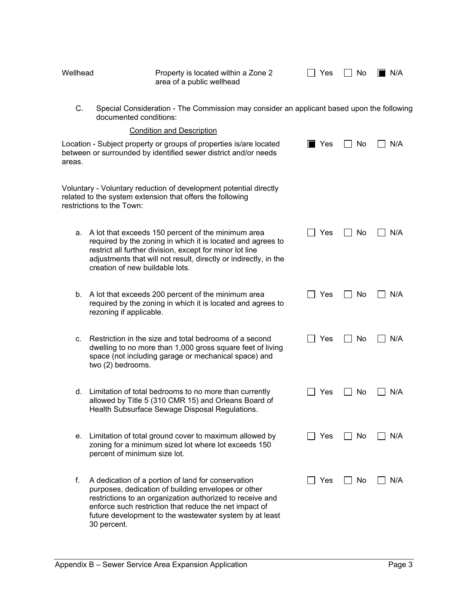| Wellhead | Property is located within a Zone 2<br>area of a public wellhead                                                                                                                                                                                                                                           | Yes                | No | I N/A |
|----------|------------------------------------------------------------------------------------------------------------------------------------------------------------------------------------------------------------------------------------------------------------------------------------------------------------|--------------------|----|-------|
| C.       | Special Consideration - The Commission may consider an applicant based upon the following<br>documented conditions:                                                                                                                                                                                        |                    |    |       |
|          | <b>Condition and Description</b>                                                                                                                                                                                                                                                                           |                    |    |       |
| areas.   | Location - Subject property or groups of properties is/are located<br>between or surrounded by identified sewer district and/or needs                                                                                                                                                                      | $\blacksquare$ Yes | No | N/A   |
|          | Voluntary - Voluntary reduction of development potential directly<br>related to the system extension that offers the following<br>restrictions to the Town:                                                                                                                                                |                    |    |       |
| а.       | A lot that exceeds 150 percent of the minimum area<br>required by the zoning in which it is located and agrees to<br>restrict all further division, except for minor lot line<br>adjustments that will not result, directly or indirectly, in the<br>creation of new buildable lots.                       | Yes                | No | N/A   |
| b.       | A lot that exceeds 200 percent of the minimum area<br>required by the zoning in which it is located and agrees to<br>rezoning if applicable.                                                                                                                                                               | Yes                | No | N/A   |
| c.       | Restriction in the size and total bedrooms of a second<br>dwelling to no more than 1,000 gross square feet of living<br>space (not including garage or mechanical space) and<br>two (2) bedrooms.                                                                                                          | Yes                | No | N/A   |
|          | d. Limitation of total bedrooms to no more than currently<br>allowed by Title 5 (310 CMR 15) and Orleans Board of<br>Health Subsurface Sewage Disposal Regulations.                                                                                                                                        | Yes                | No | N/A   |
| е.       | Limitation of total ground cover to maximum allowed by<br>zoning for a minimum sized lot where lot exceeds 150<br>percent of minimum size lot.                                                                                                                                                             | Yes                | No | N/A   |
| f.       | A dedication of a portion of land for conservation<br>purposes, dedication of building envelopes or other<br>restrictions to an organization authorized to receive and<br>enforce such restriction that reduce the net impact of<br>future development to the wastewater system by at least<br>30 percent. | Yes                | No | N/A   |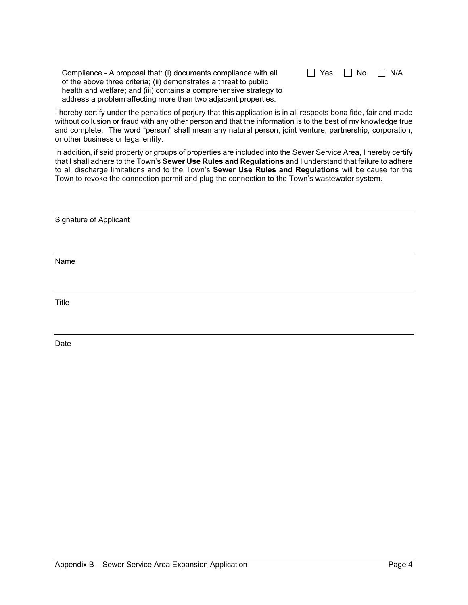Compliance - A proposal that: (i) documents compliance with all of the above three criteria; (ii) demonstrates a threat to public health and welfare; and (iii) contains a comprehensive strategy to address a problem affecting more than two adjacent properties.

| □ Yes | $\Box$ No | $\Box$ N/A |
|-------|-----------|------------|
|-------|-----------|------------|

I hereby certify under the penalties of perjury that this application is in all respects bona fide, fair and made without collusion or fraud with any other person and that the information is to the best of my knowledge true and complete. The word "person" shall mean any natural person, joint venture, partnership, corporation, or other business or legal entity.

In addition, if said property or groups of properties are included into the Sewer Service Area, I hereby certify that I shall adhere to the Town's **Sewer Use Rules and Regulations** and I understand that failure to adhere to all discharge limitations and to the Town's **Sewer Use Rules and Regulations** will be cause for the Town to revoke the connection permit and plug the connection to the Town's wastewater system.

Signature of Applicant

Name

Title

Date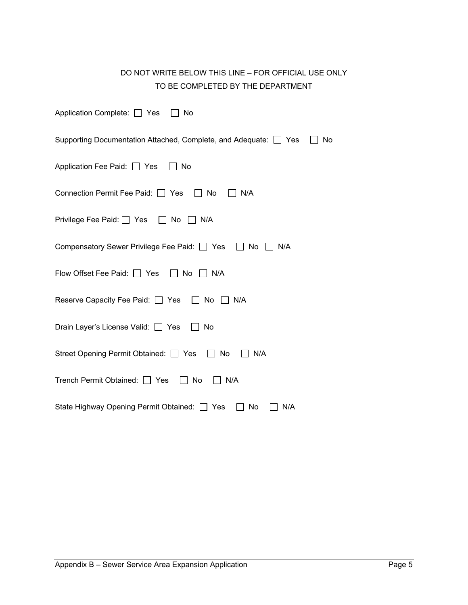| DO NOT WRITE BELOW THIS LINE – FOR OFFICIAL USE ONLY |
|------------------------------------------------------|
| TO BE COMPLETED BY THE DEPARTMENT                    |

| Application Complete: □ Yes<br>No                                      |
|------------------------------------------------------------------------|
| Supporting Documentation Attached, Complete, and Adequate: 7 Yes<br>No |
| Application Fee Paid: □ Yes<br>l I No                                  |
| Connection Permit Fee Paid:   Yes   No<br>N/A                          |
| Privilege Fee Paid: $\Box$ Yes $\Box$ No<br>    N/A                    |
| Compensatory Sewer Privilege Fee Paid: □ Yes<br>$\vert$   No<br>N/A    |
| Flow Offset Fee Paid: □ Yes □ No □ N/A                                 |
| Reserve Capacity Fee Paid: □ Yes □ No □ N/A                            |
| Drain Layer's License Valid: □ Yes<br>$\Box$<br>No                     |
| Street Opening Permit Obtained: □ Yes □ No<br>N/A                      |
| Trench Permit Obtained: □ Yes<br>$\Box$ No<br>IIN/A                    |
| State Highway Opening Permit Obtained: [1]<br>No<br>N/A<br>Yes         |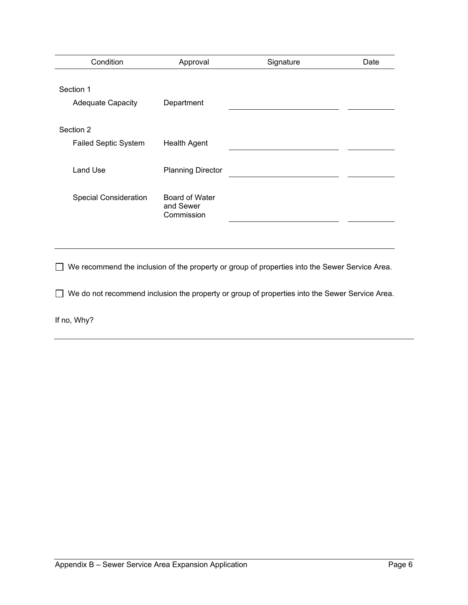| Condition                                | Approval                                  | Signature | Date |
|------------------------------------------|-------------------------------------------|-----------|------|
| Section 1<br><b>Adequate Capacity</b>    | Department                                |           |      |
| Section 2<br><b>Failed Septic System</b> | <b>Health Agent</b>                       |           |      |
| Land Use                                 | <b>Planning Director</b>                  |           |      |
| <b>Special Consideration</b>             | Board of Water<br>and Sewer<br>Commission |           |      |

We recommend the inclusion of the property or group of properties into the Sewer Service Area.

We do not recommend inclusion the property or group of properties into the Sewer Service Area.

If no, Why?